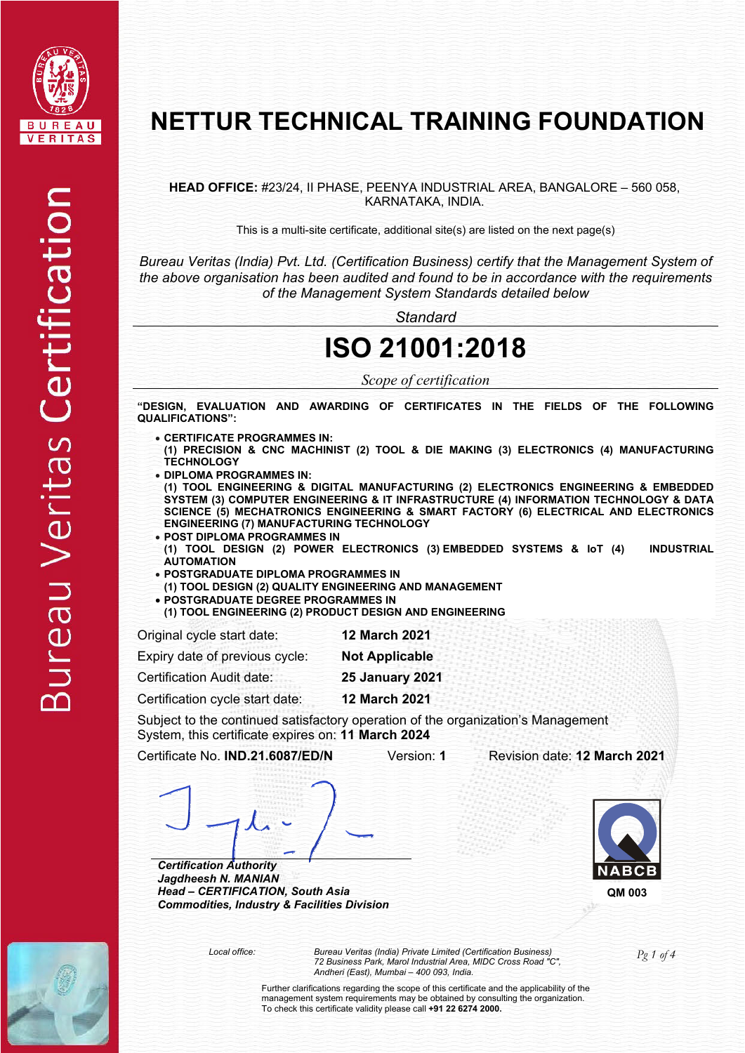

### **NETTUR TECHNICAL TRAINING FOUNDATION**

**HEAD OFFICE:** #23/24, II PHASE, PEENYA INDUSTRIAL AREA, BANGALORE – 560 058, KARNATAKA, INDIA.

This is a multi-site certificate, additional site(s) are listed on the next page(s)

*Bureau Veritas (India) Pvt. Ltd. (Certification Business) certify that the Management System of the above organisation has been audited and found to be in accordance with the requirements of the Management System Standards detailed below*

*Standard*

### **ISO 21001:2018**

*Scope of certification* 

**"DESIGN, EVALUATION AND AWARDING OF CERTIFICATES IN THE FIELDS OF THE FOLLOWING QUALIFICATIONS":** 

- **CERTIFICATE PROGRAMMES IN:**
- **(1) PRECISION & CNC MACHINIST (2) TOOL & DIE MAKING (3) ELECTRONICS (4) MANUFACTURING TECHNOLOGY**
- **DIPLOMA PROGRAMMES IN:**

**(1) TOOL ENGINEERING & DIGITAL MANUFACTURING (2) ELECTRONICS ENGINEERING & EMBEDDED SYSTEM (3) COMPUTER ENGINEERING & IT INFRASTRUCTURE (4) INFORMATION TECHNOLOGY & DATA SCIENCE (5) MECHATRONICS ENGINEERING & SMART FACTORY (6) ELECTRICAL AND ELECTRONICS ENGINEERING (7) MANUFACTURING TECHNOLOGY**

- **POST DIPLOMA PROGRAMMES IN (1) TOOL DESIGN (2) POWER ELECTRONICS (3) EMBEDDED SYSTEMS & IoT (4) INDUSTRIAL AUTOMATION**
- **POSTGRADUATE DIPLOMA PROGRAMMES IN**
- **(1) TOOL DESIGN (2) QUALITY ENGINEERING AND MANAGEMENT**
- **POSTGRADUATE DEGREE PROGRAMMES IN**

**(1) TOOL ENGINEERING (2) PRODUCT DESIGN AND ENGINEERING**

Original cycle start date: **12 March 2021** 

Expiry date of previous cycle: **Not Applicable** 

Certification Audit date: **25 January 2021** 

Certification cycle start date: **12 March 2021** 

Subject to the continued satisfactory operation of the organization's Management System, this certificate expires on: **11 March 2024**

Certificate No. **IND.21.6087/ED/N** Version: **1** Revision date: **12 March 2021**



*Certification Authority Jagdheesh N. MANIAN Head – CERTIFICATION, South Asia Commodities, Industry & Facilities Division* 



**QM 003**



*Pg 1 of 4 Local office: Bureau Veritas (India) Private Limited (Certification Business) 72 Business Park, Marol Industrial Area, MIDC Cross Road "C", Andheri (East), Mumbai – 400 093, India.*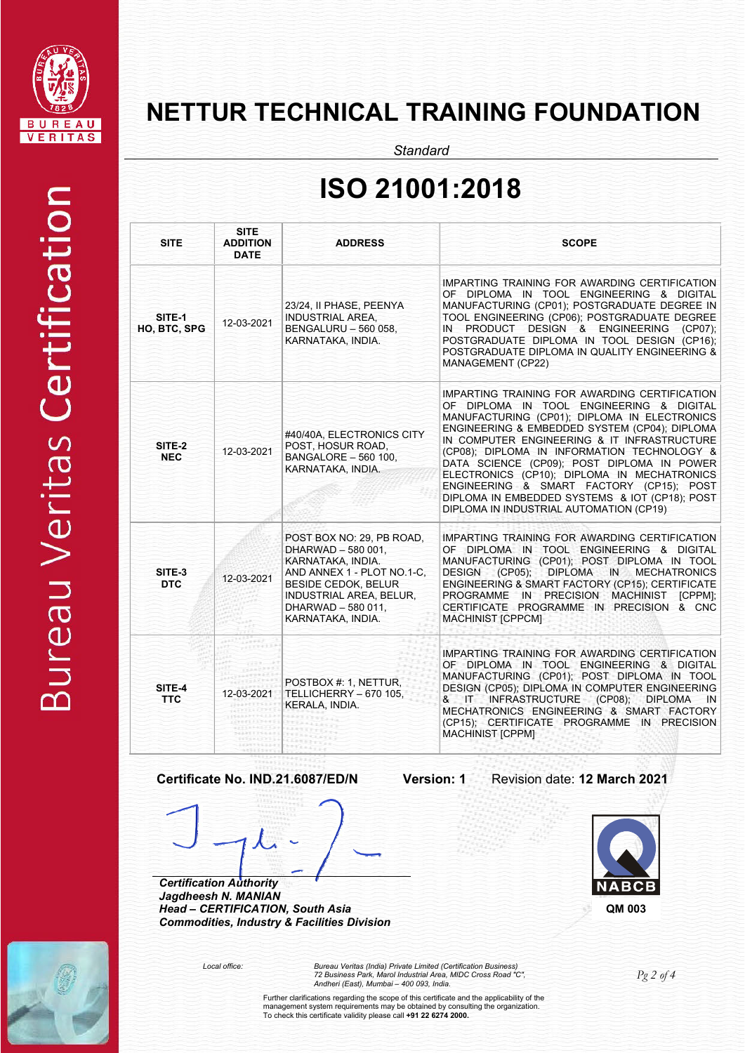

**Bureau Veritas Certification** 

# **NETTUR TECHNICAL TRAINING FOUNDATION**

*Standard*

# **ISO 21001:2018**

| <b>SITE</b>            | <b>SITE</b><br><b>ADDITION</b><br><b>DATE</b> | <b>ADDRESS</b>                                                                                                                                                                                                | <b>SCOPE</b>                                                                                                                                                                                                                                                                                                                                                                                                                                                                                                                   |
|------------------------|-----------------------------------------------|---------------------------------------------------------------------------------------------------------------------------------------------------------------------------------------------------------------|--------------------------------------------------------------------------------------------------------------------------------------------------------------------------------------------------------------------------------------------------------------------------------------------------------------------------------------------------------------------------------------------------------------------------------------------------------------------------------------------------------------------------------|
| SITE-1<br>HO, BTC, SPG | 12-03-2021                                    | 23/24, II PHASE, PEENYA<br>INDUSTRIAL AREA,<br>BENGALURU - 560 058,<br>KARNATAKA, INDIA.                                                                                                                      | IMPARTING TRAINING FOR AWARDING CERTIFICATION<br>OF DIPLOMA IN TOOL ENGINEERING & DIGITAL<br>MANUFACTURING (CP01); POSTGRADUATE DEGREE IN<br>TOOL ENGINEERING (CP06); POSTGRADUATE DEGREE<br>IN PRODUCT DESIGN & ENGINEERING (CP07);<br>POSTGRADUATE DIPLOMA IN TOOL DESIGN (CP16);<br>POSTGRADUATE DIPLOMA IN QUALITY ENGINEERING &<br>MANAGEMENT (CP22)                                                                                                                                                                      |
| SITE-2<br><b>NEC</b>   | 12-03-2021                                    | #40/40A, ELECTRONICS CITY<br>POST, HOSUR ROAD,<br><b>BANGALORE - 560 100,</b><br>KARNATAKA, INDIA.                                                                                                            | IMPARTING TRAINING FOR AWARDING CERTIFICATION<br>OF DIPLOMA IN TOOL ENGINEERING & DIGITAL<br>MANUFACTURING (CP01); DIPLOMA IN ELECTRONICS<br>ENGINEERING & EMBEDDED SYSTEM (CP04); DIPLOMA<br>IN COMPUTER ENGINEERING & IT INFRASTRUCTURE<br>(CP08); DIPLOMA IN INFORMATION TECHNOLOGY &<br>DATA SCIENCE (CP09); POST DIPLOMA IN POWER<br>ELECTRONICS (CP10); DIPLOMA IN MECHATRONICS<br>ENGINEERING & SMART FACTORY (CP15); POST<br>DIPLOMA IN EMBEDDED SYSTEMS & IOT (CP18); POST<br>DIPLOMA IN INDUSTRIAL AUTOMATION (CP19) |
| SITE-3<br><b>DTC</b>   | 12-03-2021                                    | POST BOX NO: 29, PB ROAD,<br>DHARWAD - 580 001,<br>KARNATAKA, INDIA.<br>AND ANNEX 1 - PLOT NO.1-C.<br><b>BESIDE CEDOK, BELUR</b><br><b>INDUSTRIAL AREA, BELUR,</b><br>DHARWAD - 580 011.<br>KARNATAKA, INDIA. | IMPARTING TRAINING FOR AWARDING CERTIFICATION<br>OF DIPLOMA IN TOOL ENGINEERING & DIGITAL<br>MANUFACTURING (CP01); POST DIPLOMA IN TOOL<br>DIPLOMA IN MECHATRONICS<br>DESIGN (CP05);<br>ENGINEERING & SMART FACTORY (CP15); CERTIFICATE<br>PROGRAMME IN PRECISION MACHINIST<br>[CPPM]:<br>CERTIFICATE PROGRAMME IN PRECISION & CNC<br><b>MACHINIST [CPPCM]</b>                                                                                                                                                                 |
| SITE-4<br><b>TTC</b>   | 12-03-2021                                    | POSTBOX #: 1, NETTUR,<br>TELLICHERRY - 670 105,<br>KERALA, INDIA.                                                                                                                                             | <b>IMPARTING TRAINING FOR AWARDING CERTIFICATION</b><br>OF DIPLOMA IN TOOL ENGINEERING & DIGITAL<br>MANUFACTURING (CP01); POST DIPLOMA IN TOOL<br>DESIGN (CP05); DIPLOMA IN COMPUTER ENGINEERING<br>& IT INFRASTRUCTURE (CP08); DIPLOMA<br>IN.<br>MECHATRONICS ENGINEERING & SMART FACTORY<br>(CP15); CERTIFICATE PROGRAMME IN PRECISION<br><b>MACHINIST [CPPM]</b>                                                                                                                                                            |

**Certificate No. IND.21.6087/ED/N Version: 1** Revision date: **12 March 2021**

*Head – CERTIFICATION, South Asia Commodities, Industry & Facilities Division* 

*Certification Authority Jagdheesh N. MANIAN* 





*Pg 2 of 4 Local office: Bureau Veritas (India) Private Limited (Certification Business) 72 Business Park, Marol Industrial Area, MIDC Cross Road "C", Andheri (East), Mumbai – 400 093, India.*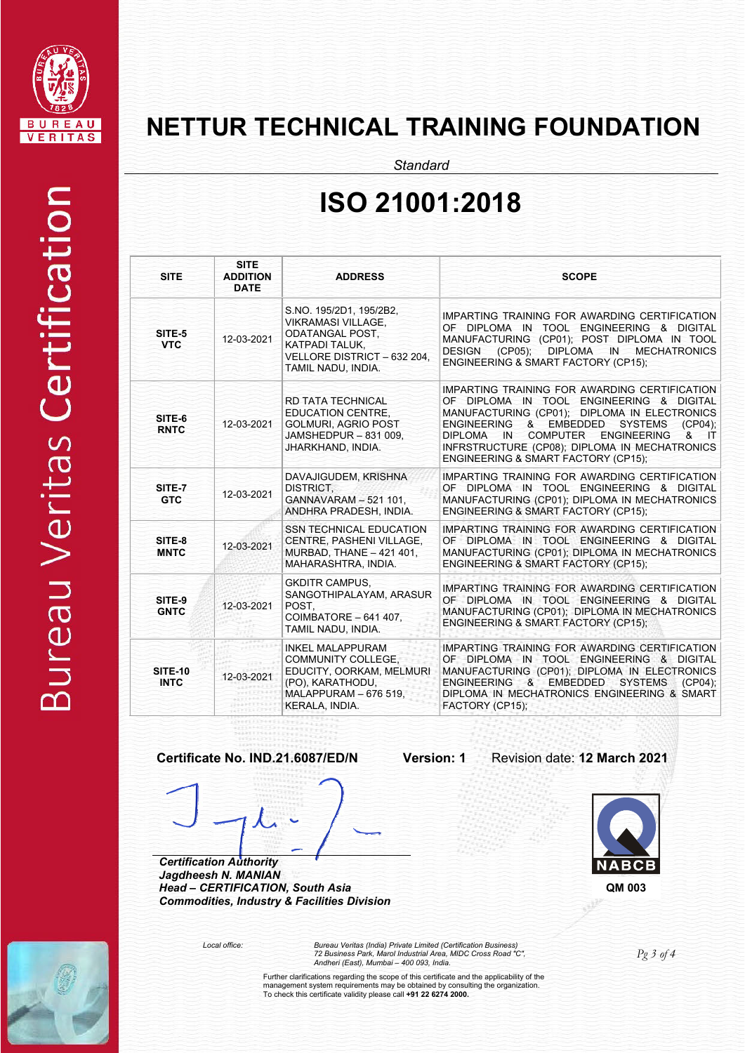

### **NETTUR TECHNICAL TRAINING FOUNDATION**

*Standard*

### **ISO 21001:2018**

| <b>SITE</b>                   | <b>SITE</b><br><b>ADDITION</b><br><b>DATE</b> | <b>ADDRESS</b>                                                                                                                                        | <b>SCOPE</b>                                                                                                                                                                                                                                                                                                                         |
|-------------------------------|-----------------------------------------------|-------------------------------------------------------------------------------------------------------------------------------------------------------|--------------------------------------------------------------------------------------------------------------------------------------------------------------------------------------------------------------------------------------------------------------------------------------------------------------------------------------|
| SITE-5<br><b>VTC</b>          | 12-03-2021                                    | S.NO. 195/2D1, 195/2B2,<br><b>VIKRAMASI VILLAGE.</b><br><b>ODATANGAL POST.</b><br>KATPADI TALUK.<br>VELLORE DISTRICT - 632 204,<br>TAMIL NADU, INDIA. | IMPARTING TRAINING FOR AWARDING CERTIFICATION<br>OF DIPLOMA IN TOOL ENGINEERING & DIGITAL<br>MANUFACTURING (CP01); POST DIPLOMA IN TOOL<br><b>DESIGN</b><br>$(CP05)$ ;<br>DIPLOMA IN MECHATRONICS<br>ENGINEERING & SMART FACTORY (CP15);                                                                                             |
| SITE-6<br><b>RNTC</b>         | 12-03-2021                                    | <b>RD TATA TECHNICAL</b><br><b>EDUCATION CENTRE.</b><br><b>GOLMURI. AGRIO POST</b><br>JAMSHEDPUR - 831 009,<br>JHARKHAND, INDIA.                      | IMPARTING TRAINING FOR AWARDING CERTIFICATION<br>OF DIPLOMA IN TOOL ENGINEERING & DIGITAL<br>MANUFACTURING (CP01); DIPLOMA IN ELECTRONICS<br>ENGINEERING & EMBEDDED SYSTEMS<br>(CPO4)<br>COMPUTER ENGINEERING<br>DIPLOMA IN<br>&<br>$\sqcap$<br>INFRSTRUCTURE (CP08); DIPLOMA IN MECHATRONICS<br>ENGINEERING & SMART FACTORY (CP15); |
| SITE-7<br><b>GTC</b>          | 12-03-2021                                    | DAVAJIGUDEM, KRISHNA<br>DISTRICT.<br>GANNAVARAM - 521 101.<br>ANDHRA PRADESH. INDIA.                                                                  | IMPARTING TRAINING FOR AWARDING CERTIFICATION<br>OF DIPLOMA IN TOOL ENGINEERING & DIGITAL<br>MANUFACTURING (CP01); DIPLOMA IN MECHATRONICS<br>ENGINEERING & SMART FACTORY (CP15);                                                                                                                                                    |
| SITE-8<br><b>MNTC</b>         | 12-03-2021                                    | <b>SSN TECHNICAL EDUCATION</b><br>CENTRE, PASHENI VILLAGE,<br>MURBAD, THANE - 421 401,<br>MAHARASHTRA, INDIA.                                         | IMPARTING TRAINING FOR AWARDING CERTIFICATION<br>OF DIPLOMA IN TOOL ENGINEERING & DIGITAL<br>MANUFACTURING (CP01); DIPLOMA IN MECHATRONICS<br>ENGINEERING & SMART FACTORY (CP15);                                                                                                                                                    |
| SITE-9<br><b>GNTC</b>         | 12-03-2021                                    | <b>GKDITR CAMPUS.</b><br>SANGOTHIPALAYAM, ARASUR<br>POST.<br>COIMBATORE - 641 407.<br>TAMIL NADU, INDIA.                                              | IMPARTING TRAINING FOR AWARDING CERTIFICATION<br>OF DIPLOMA IN TOOL ENGINEERING & DIGITAL<br>MANUFACTURING (CP01); DIPLOMA IN MECHATRONICS<br>ENGINEERING & SMART FACTORY (CP15);                                                                                                                                                    |
| <b>SITE-10</b><br><b>INTC</b> | 12-03-2021                                    | <b>INKEL MALAPPURAM</b><br>COMMUNITY COLLEGE.<br>EDUCITY, OORKAM, MELMURI<br>(PO), KARATHODU,<br>MALAPPURAM - 676 519.<br>KERALA, INDIA.              | IMPARTING TRAINING FOR AWARDING CERTIFICATION<br>OF DIPLOMA IN TOOL ENGINEERING & DIGITAL<br>MANUFACTURING (CP01); DIPLOMA IN ELECTRONICS<br>ENGINEERING & EMBEDDED SYSTEMS<br>$(CP04)$ :<br>DIPLOMA IN MECHATRONICS ENGINEERING & SMART<br>FACTORY (CP15);                                                                          |

### **Certificate No. IND.21.6087/ED/N Version: 1** Revision date: **12 March 2021**

*Certification Authority* 

*Jagdheesh N. MANIAN Head – CERTIFICATION, South Asia Commodities, Industry & Facilities Division* 



*Pg 3 of 4 Local office: Bureau Veritas (India) Private Limited (Certification Business) 72 Business Park, Marol Industrial Area, MIDC Cross Road "C", Andheri (East), Mumbai – 400 093, India.*